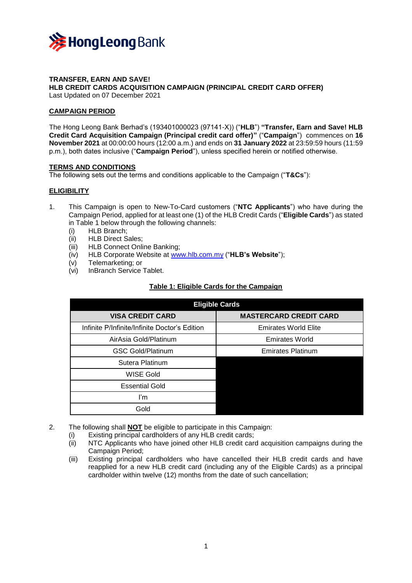

# **TRANSFER, EARN AND SAVE!**

**HLB CREDIT CARDS ACQUISITION CAMPAIGN (PRINCIPAL CREDIT CARD OFFER)** Last Updated on 07 December 2021

## **CAMPAIGN PERIOD**

The Hong Leong Bank Berhad's (193401000023 (97141-X)) ("**HLB**") **"Transfer, Earn and Save! HLB Credit Card Acquisition Campaign (Principal credit card offer)"** ("**Campaign**") commences on **16 November 2021** at 00:00:00 hours (12:00 a.m.) and ends on **31 January 2022** at 23:59:59 hours (11:59 p.m.), both dates inclusive ("**Campaign Period**"), unless specified herein or notified otherwise.

## **TERMS AND CONDITIONS**

The following sets out the terms and conditions applicable to the Campaign ("**T&Cs**"):

# **ELIGIBILITY**

- 1. This Campaign is open to New-To-Card customers ("**NTC Applicants**") who have during the Campaign Period, applied for at least one (1) of the HLB Credit Cards ("**Eligible Cards**") as stated in Table 1 below through the following channels:
	- (i) HLB Branch;
	- (ii) HLB Direct Sales;
	- (iii) HLB Connect Online Banking;<br>(iv) HLB Corporate Website at ww
	- HLB Corporate Website at [www.hlb.com.my](http://www.hlb.com.my/) ("HLB's Website");
	- (v) Telemarketing; or
	- (vi) InBranch Service Tablet.

## **Table 1: Eligible Cards for the Campaign**

| <b>Eligible Cards</b>                         |                               |  |  |  |
|-----------------------------------------------|-------------------------------|--|--|--|
| <b>VISA CREDIT CARD</b>                       | <b>MASTERCARD CREDIT CARD</b> |  |  |  |
| Infinite P/Infinite/Infinite Doctor's Edition | <b>Emirates World Elite</b>   |  |  |  |
| AirAsia Gold/Platinum                         | <b>Emirates World</b>         |  |  |  |
| <b>GSC Gold/Platinum</b>                      | <b>Emirates Platinum</b>      |  |  |  |
| Sutera Platinum                               |                               |  |  |  |
| <b>WISE Gold</b>                              |                               |  |  |  |
| <b>Essential Gold</b>                         |                               |  |  |  |
| ľm                                            |                               |  |  |  |
| Gold                                          |                               |  |  |  |

- 2. The following shall **NOT** be eligible to participate in this Campaign:
	- (i) Existing principal cardholders of any HLB credit cards;
	- (ii) NTC Applicants who have joined other HLB credit card acquisition campaigns during the Campaign Period;
	- (iii) Existing principal cardholders who have cancelled their HLB credit cards and have reapplied for a new HLB credit card (including any of the Eligible Cards) as a principal cardholder within twelve (12) months from the date of such cancellation;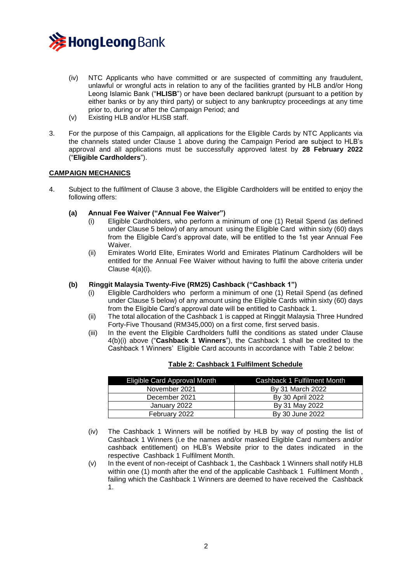

- (iv) NTC Applicants who have committed or are suspected of committing any fraudulent, unlawful or wrongful acts in relation to any of the facilities granted by HLB and/or Hong Leong Islamic Bank ("**HLISB**") or have been declared bankrupt (pursuant to a petition by either banks or by any third party) or subject to any bankruptcy proceedings at any time prior to, during or after the Campaign Period; and
- (v) Existing HLB and/or HLISB staff.
- 3. For the purpose of this Campaign, all applications for the Eligible Cards by NTC Applicants via the channels stated under Clause 1 above during the Campaign Period are subject to HLB's approval and all applications must be successfully approved latest by **28 February 2022** ("**Eligible Cardholders**").

## **CAMPAIGN MECHANICS**

4. Subject to the fulfilment of Clause 3 above, the Eligible Cardholders will be entitled to enjoy the following offers:

### **(a) Annual Fee Waiver ("Annual Fee Waiver")**

- (i) Eligible Cardholders, who perform a minimum of one (1) Retail Spend (as defined under Clause 5 below) of any amount using the Eligible Card within sixty (60) days from the Eligible Card's approval date, will be entitled to the 1st year Annual Fee Waiver.
- (ii) Emirates World Elite, Emirates World and Emirates Platinum Cardholders will be entitled for the Annual Fee Waiver without having to fulfil the above criteria under Clause 4(a)(i).

# **(b) Ringgit Malaysia Twenty-Five (RM25) Cashback ("Cashback 1")**

- (i) Eligible Cardholders who perform a minimum of one (1) Retail Spend (as defined under Clause 5 below) of any amount using the Eligible Cards within sixty (60) days from the Eligible Card's approval date will be entitled to Cashback 1.
- (ii) The total allocation of the Cashback 1 is capped at Ringgit Malaysia Three Hundred Forty-Five Thousand (RM345,000) on a first come, first served basis.
- (iii) In the event the Eligible Cardholders fulfil the conditions as stated under Clause 4(b)(i) above ("**Cashback 1 Winners**"), the Cashback 1 shall be credited to the Cashback 1 Winners' Eligible Card accounts in accordance with Table 2 below:

| Eligible Card Approval Month | Cashback 1 Fulfilment Month |
|------------------------------|-----------------------------|
| November 2021                | By 31 March 2022            |
| December 2021                | By 30 April 2022            |
| January 2022                 | By 31 May 2022              |
| February 2022                | By 30 June 2022             |

# **Table 2: Cashback 1 Fulfilment Schedule**

- (iv) The Cashback 1 Winners will be notified by HLB by way of posting the list of Cashback 1 Winners (i.e the names and/or masked Eligible Card numbers and/or cashback entitlement) on HLB's Website prior to the dates indicated in the respective Cashback 1 Fulfilment Month.
- (v) In the event of non-receipt of Cashback 1, the Cashback 1 Winners shall notify HLB within one (1) month after the end of the applicable Cashback 1 Fulfilment Month, failing which the Cashback 1 Winners are deemed to have received the Cashback 1.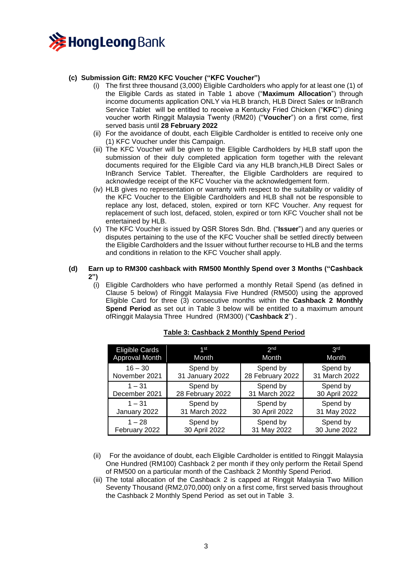

# **(c) Submission Gift: RM20 KFC Voucher ("KFC Voucher")**

- (i) The first three thousand (3,000) Eligible Cardholders who apply for at least one (1) of the Eligible Cards as stated in Table 1 above ("**Maximum Allocation**") through income documents application ONLY via HLB branch, HLB Direct Sales or InBranch Service Tablet will be entitled to receive a Kentucky Fried Chicken ("**KFC**") dining voucher worth Ringgit Malaysia Twenty (RM20) ("**Voucher**") on a first come, first served basis until **28 February 2022**
- (ii) For the avoidance of doubt, each Eligible Cardholder is entitled to receive only one (1) KFC Voucher under this Campaign.
- (iii) The KFC Voucher will be given to the Eligible Cardholders by HLB staff upon the submission of their duly completed application form together with the relevant documents required for the Eligible Card via any HLB branch,HLB Direct Sales or InBranch Service Tablet. Thereafter, the Eligible Cardholders are required to acknowledge receipt of the KFC Voucher via the acknowledgement form.
- (iv) HLB gives no representation or warranty with respect to the suitability or validity of the KFC Voucher to the Eligible Cardholders and HLB shall not be responsible to replace any lost, defaced, stolen, expired or torn KFC Voucher. Any request for replacement of such lost, defaced, stolen, expired or torn KFC Voucher shall not be entertained by HLB.
- (v) The KFC Voucher is issued by QSR Stores Sdn. Bhd. ("**Issuer**") and any queries or disputes pertaining to the use of the KFC Voucher shall be settled directly between the Eligible Cardholders and the Issuer without further recourse to HLB and the terms and conditions in relation to the KFC Voucher shall apply.

## **(d) Earn up to RM300 cashback with RM500 Monthly Spend over 3 Months ("Cashback 2")**

(i) Eligible Cardholders who have performed a monthly Retail Spend (as defined in Clause 5 below) of Ringgit Malaysia Five Hundred (RM500) using the approved Eligible Card for three (3) consecutive months within the **Cashback 2 Monthly Spend Period** as set out in Table 3 below will be entitled to a maximum amount ofRinggit Malaysia Three Hundred (RM300) ("**Cashback 2**") .

| Eligible Cards | 1st              | 2 <sub>nd</sub>  | 3 <sub>rd</sub> |
|----------------|------------------|------------------|-----------------|
| Approval Month | Month            | Month            | Month           |
| $16 - 30$      | Spend by         | Spend by         | Spend by        |
| November 2021  | 31 January 2022  | 28 February 2022 | 31 March 2022   |
| $1 - 31$       | Spend by         | Spend by         | Spend by        |
| December 2021  | 28 February 2022 | 31 March 2022    | 30 April 2022   |
| $1 - 31$       | Spend by         | Spend by         | Spend by        |
| January 2022   | 31 March 2022    | 30 April 2022    | 31 May 2022     |
| $1 - 28$       | Spend by         | Spend by         | Spend by        |
| February 2022  | 30 April 2022    | 31 May 2022      | 30 June 2022    |

### **Table 3: Cashback 2 Monthly Spend Period**

- (ii) For the avoidance of doubt, each Eligible Cardholder is entitled to Ringgit Malaysia One Hundred (RM100) Cashback 2 per month if they only perform the Retail Spend of RM500 on a particular month of the Cashback 2 Monthly Spend Period.
- (iii) The total allocation of the Cashback 2 is capped at Ringgit Malaysia Two Million Seventy Thousand (RM2,070,000) only on a first come, first served basis throughout the Cashback 2 Monthly Spend Period as set out in Table 3.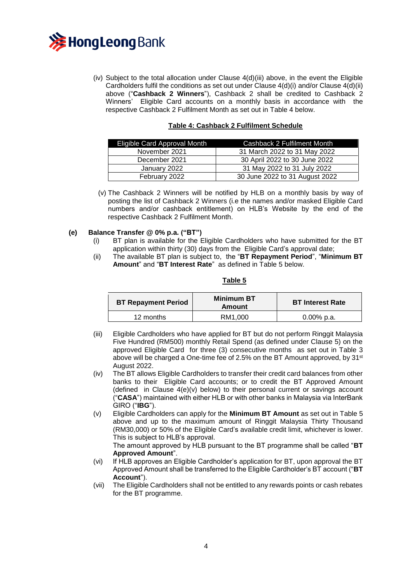

(iv) Subject to the total allocation under Clause 4(d)(iii) above, in the event the Eligible Cardholders fulfil the conditions as set out under Clause  $4(d)(i)$  and/or Clause  $4(d)(ii)$ above ("**Cashback 2 Winners**"), Cashback 2 shall be credited to Cashback 2 Winners' Eligible Card accounts on a monthly basis in accordance with the respective Cashback 2 Fulfilment Month as set out in Table 4 below.

| Eligible Card Approval Month | Cashback 2 Fulfilment Month  |
|------------------------------|------------------------------|
| November 2021                | 31 March 2022 to 31 May 2022 |

December 2021 30 April 2022 to 30 June 2022 January 2022 31 May 2022 to 31 July 2022 February 2022 30 June 2022 to 31 August 2022

### **Table 4: Cashback 2 Fulfilment Schedule**

(v) The Cashback 2 Winners will be notified by HLB on a monthly basis by way of posting the list of Cashback 2 Winners (i.e the names and/or masked Eligible Card numbers and/or cashback entitlement) on HLB's Website by the end of the respective Cashback 2 Fulfilment Month.

## **(e) Balance Transfer @ 0% p.a. ("BT")**

- (i) BT plan is available for the Eligible Cardholders who have submitted for the BT application within thirty (30) days from the Eligible Card's approval date;
- (ii) The available BT plan is subject to, the "**BT Repayment Period**", "**Minimum BT Amount**" and "**BT Interest Rate**" as defined in Table 5 below.

#### **Table 5**

| <b>BT Repayment Period</b> | <b>Minimum BT</b><br>Amount | <b>BT Interest Rate</b> |
|----------------------------|-----------------------------|-------------------------|
| 12 months                  | RM1.000                     | $0.00\%$ p.a.           |

- (iii) Eligible Cardholders who have applied for BT but do not perform Ringgit Malaysia Five Hundred (RM500) monthly Retail Spend (as defined under Clause 5) on the approved Eligible Card for three (3) consecutive months as set out in Table 3 above will be charged a One-time fee of 2.5% on the BT Amount approved, by 31<sup>st</sup> August 2022.
- (iv) The BT allows Eligible Cardholders to transfer their credit card balances from other banks to their Eligible Card accounts; or to credit the BT Approved Amount (defined in Clause 4(e)(v) below) to their personal current or savings account ("**CASA**") maintained with either HLB or with other banks in Malaysia via InterBank GIRO ("**IBG**").
- (v) Eligible Cardholders can apply for the **Minimum BT Amount** as set out in Table 5 above and up to the maximum amount of Ringgit Malaysia Thirty Thousand (RM30,000) or 50% of the Eligible Card's available credit limit, whichever is lower. This is subject to HLB's approval. The amount approved by HLB pursuant to the BT programme shall be called "**BT**
- **Approved Amount**". (vi) If HLB approves an Eligible Cardholder's application for BT, upon approval the BT
- Approved Amount shall be transferred to the Eligible Cardholder's BT account ("**BT Account**").
- (vii) The Eligible Cardholders shall not be entitled to any rewards points or cash rebates for the BT programme.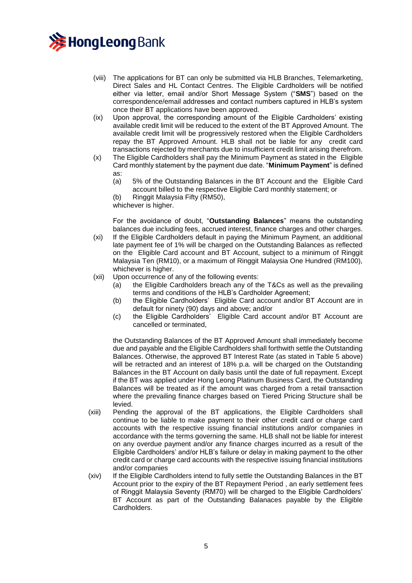

- (viii) The applications for BT can only be submitted via HLB Branches, Telemarketing, Direct Sales and HL Contact Centres. The Eligible Cardholders will be notified either via letter, email and/or Short Message System ("**SMS**") based on the correspondence/email addresses and contact numbers captured in HLB's system once their BT applications have been approved.
- (ix) Upon approval, the corresponding amount of the Eligible Cardholders' existing available credit limit will be reduced to the extent of the BT Approved Amount. The available credit limit will be progressively restored when the Eligible Cardholders repay the BT Approved Amount. HLB shall not be liable for any credit card transactions rejected by merchants due to insufficient credit limit arising therefrom.
- (x) The Eligible Cardholders shall pay the Minimum Payment as stated in the Eligible Card monthly statement by the payment due date. "**Minimum Payment**" is defined as:
	- (a) 5% of the Outstanding Balances in the BT Account and the Eligible Card account billed to the respective Eligible Card monthly statement; or
	- (b) Ringgit Malaysia Fifty (RM50),

whichever is higher.

For the avoidance of doubt, "**Outstanding Balances**" means the outstanding balances due including fees, accrued interest, finance charges and other charges.

- (xi) If the Eligible Cardholders default in paying the Minimum Payment, an additional late payment fee of 1% will be charged on the Outstanding Balances as reflected on the Eligible Card account and BT Account, subject to a minimum of Ringgit Malaysia Ten (RM10), or a maximum of Ringgit Malaysia One Hundred (RM100), whichever is higher.
- (xii) Upon occurrence of any of the following events:
	- (a) the Eligible Cardholders breach any of the T&Cs as well as the prevailing terms and conditions of the HLB's Cardholder Agreement;
		- (b) the Eligible Cardholders' Eligible Card account and/or BT Account are in default for ninety (90) days and above; and/or
		- (c) the Eligible Cardholders' Eligible Card account and/or BT Account are cancelled or terminated,

the Outstanding Balances of the BT Approved Amount shall immediately become due and payable and the Eligible Cardholders shall forthwith settle the Outstanding Balances. Otherwise, the approved BT Interest Rate (as stated in Table 5 above) will be retracted and an interest of 18% p.a. will be charged on the Outstanding Balances in the BT Account on daily basis until the date of full repayment. Except if the BT was applied under Hong Leong Platinum Business Card, the Outstanding Balances will be treated as if the amount was charged from a retail transaction where the prevailing finance charges based on Tiered Pricing Structure shall be levied.

- (xiii) Pending the approval of the BT applications, the Eligible Cardholders shall continue to be liable to make payment to their other credit card or charge card accounts with the respective issuing financial institutions and/or companies in accordance with the terms governing the same. HLB shall not be liable for interest on any overdue payment and/or any finance charges incurred as a result of the Eligible Cardholders' and/or HLB's failure or delay in making payment to the other credit card or charge card accounts with the respective issuing financial institutions and/or companies
- (xiv) If the Eligible Cardholders intend to fully settle the Outstanding Balances in the BT Account prior to the expiry of the BT Repayment Period , an early settlement fees of Ringgit Malaysia Seventy (RM70) will be charged to the Eligible Cardholders' BT Account as part of the Outstanding Balanaces payable by the Eligible Cardholders.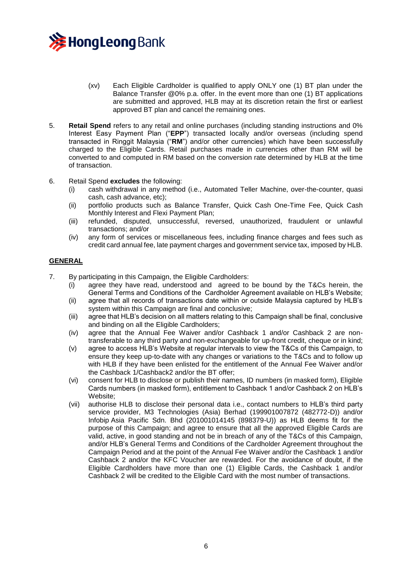

- (xv) Each Eligible Cardholder is qualified to apply ONLY one (1) BT plan under the Balance Transfer @0% p.a. offer. In the event more than one (1) BT applications are submitted and approved, HLB may at its discretion retain the first or earliest approved BT plan and cancel the remaining ones.
- 5. **Retail Spend** refers to any retail and online purchases (including standing instructions and 0% Interest Easy Payment Plan ("**EPP**") transacted locally and/or overseas (including spend transacted in Ringgit Malaysia ("**RM**") and/or other currencies) which have been successfully charged to the Eligible Cards. Retail purchases made in currencies other than RM will be converted to and computed in RM based on the conversion rate determined by HLB at the time of transaction.

### 6. Retail Spend **excludes** the following:

- (i) cash withdrawal in any method (i.e., Automated Teller Machine, over-the-counter, quasi cash, cash advance, etc);
- (ii) portfolio products such as Balance Transfer, Quick Cash One-Time Fee, Quick Cash Monthly Interest and Flexi Payment Plan;
- (iii) refunded, disputed, unsuccessful, reversed, unauthorized, fraudulent or unlawful transactions; and/or
- (iv) any form of services or miscellaneous fees, including finance charges and fees such as credit card annual fee, late payment charges and government service tax, imposed by HLB.

## **GENERAL**

- 7. By participating in this Campaign, the Eligible Cardholders:
	- (i) agree they have read, understood and agreed to be bound by the T&Cs herein, the General Terms and Conditions of the Cardholder Agreement available on HLB's Website;
	- (ii) agree that all records of transactions date within or outside Malaysia captured by HLB's system within this Campaign are final and conclusive;
	- (iii) agree that HLB's decision on all matters relating to this Campaign shall be final, conclusive and binding on all the Eligible Cardholders;
	- (iv) agree that the Annual Fee Waiver and/or Cashback 1 and/or Cashback 2 are nontransferable to any third party and non-exchangeable for up-front credit, cheque or in kind;
	- (v) agree to access HLB's Website at regular intervals to view the T&Cs of this Campaign, to ensure they keep up-to-date with any changes or variations to the T&Cs and to follow up with HLB if they have been enlisted for the entitlement of the Annual Fee Waiver and/or the Cashback 1/Cashback2 and/or the BT offer;
	- (vi) consent for HLB to disclose or publish their names, ID numbers (in masked form), Eligible Cards numbers (in masked form), entitlement to Cashback 1 and/or Cashback 2 on HLB's Website;
	- (vii) authorise HLB to disclose their personal data i.e., contact numbers to HLB's third party service provider, M3 Technologies (Asia) Berhad (199901007872 (482772-D)) and/or Infobip Asia Pacific Sdn. Bhd (201001014145 (898379-U)) as HLB deems fit for the purpose of this Campaign; and agree to ensure that all the approved Eligible Cards are valid, active, in good standing and not be in breach of any of the T&Cs of this Campaign, and/or HLB's General Terms and Conditions of the Cardholder Agreement throughout the Campaign Period and at the point of the Annual Fee Waiver and/or the Cashback 1 and/or Cashback 2 and/or the KFC Voucher are rewarded. For the avoidance of doubt, if the Eligible Cardholders have more than one (1) Eligible Cards, the Cashback 1 and/or Cashback 2 will be credited to the Eligible Card with the most number of transactions.